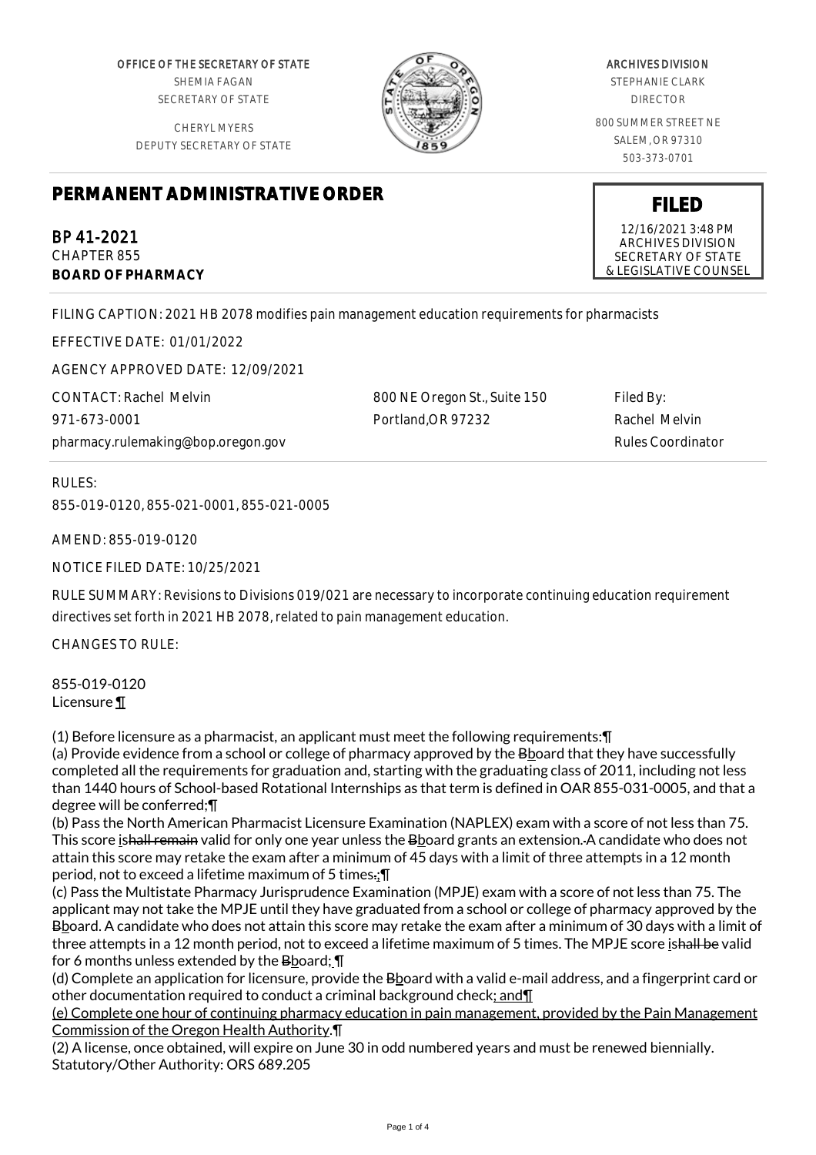OFFICE OF THE SECRETARY OF STATE SHEMIA FAGAN SECRETARY OF STATE

CHERYL MYERS DEPUTY SECRETARY OF STATE



# ARCHIVES DIVISION

STEPHANIE CLARK DIRECTOR

800 SUMMER STREET NE SALEM, OR 97310 503-373-0701

# **PERMANENT ADMINISTRATIVE ORDER**

BP 41-2021 CHAPTER 855 **BOARD OF PHARMACY**

FILING CAPTION: 2021 HB 2078 modifies pain management education requirements for pharmacists

EFFECTIVE DATE: 01/01/2022

AGENCY APPROVED DATE: 12/09/2021

CONTACT: Rachel Melvin 971-673-0001 pharmacy.rulemaking@bop.oregon.gov

800 NE Oregon St., Suite 150 Portland,OR 97232

Filed By: Rachel Melvin Rules Coordinator

RULES:

855-019-0120, 855-021-0001, 855-021-0005

AMEND: 855-019-0120

NOTICE FILED DATE: 10/25/2021

RULE SUMMARY: Revisions to Divisions 019/021 are necessary to incorporate continuing education requirement directives set forth in 2021 HB 2078, related to pain management education.

CHANGES TO RULE:

855-019-0120 Licensure ¶

(1) Before licensure as a pharmacist, an applicant must meet the following requirements:¶

(a) Provide evidence from a school or college of pharmacy approved by the Bboard that they have successfully completed all the requirements for graduation and, starting with the graduating class of 2011, including not less than 1440 hours of School-based Rotational Internships as that term is defined in OAR 855-031-0005, and that a degree will be conferred;¶

(b) Pass the North American Pharmacist Licensure Examination (NAPLEX) exam with a score of not less than 75. This score ishall remain valid for only one year unless the Bboard grants an extension. A candidate who does not attain this score may retake the exam after a minimum of 45 days with a limit of three attempts in a 12 month period, not to exceed a lifetime maximum of 5 times.;¶

(c) Pass the Multistate Pharmacy Jurisprudence Examination (MPJE) exam with a score of not less than 75. The applicant may not take the MPJE until they have graduated from a school or college of pharmacy approved by the Bboard. A candidate who does not attain this score may retake the exam after a minimum of 30 days with a limit of three attempts in a 12 month period, not to exceed a lifetime maximum of 5 times. The MPJE score ishall be valid for 6 months unless extended by the Bboard; \[

(d) Complete an application for licensure, provide the Bboard with a valid e-mail address, and a fingerprint card or other documentation required to conduct a criminal background check; and¶

(e) Complete one hour of continuing pharmacy education in pain management, provided by the Pain Management Commission of the Oregon Health Authority.¶

(2) A license, once obtained, will expire on June 30 in odd numbered years and must be renewed biennially. Statutory/Other Authority: ORS 689.205

12/16/2021 3:48 PM ARCHIVES DIVISION SECRETARY OF STATE & LEGISLATIVE COUNSEL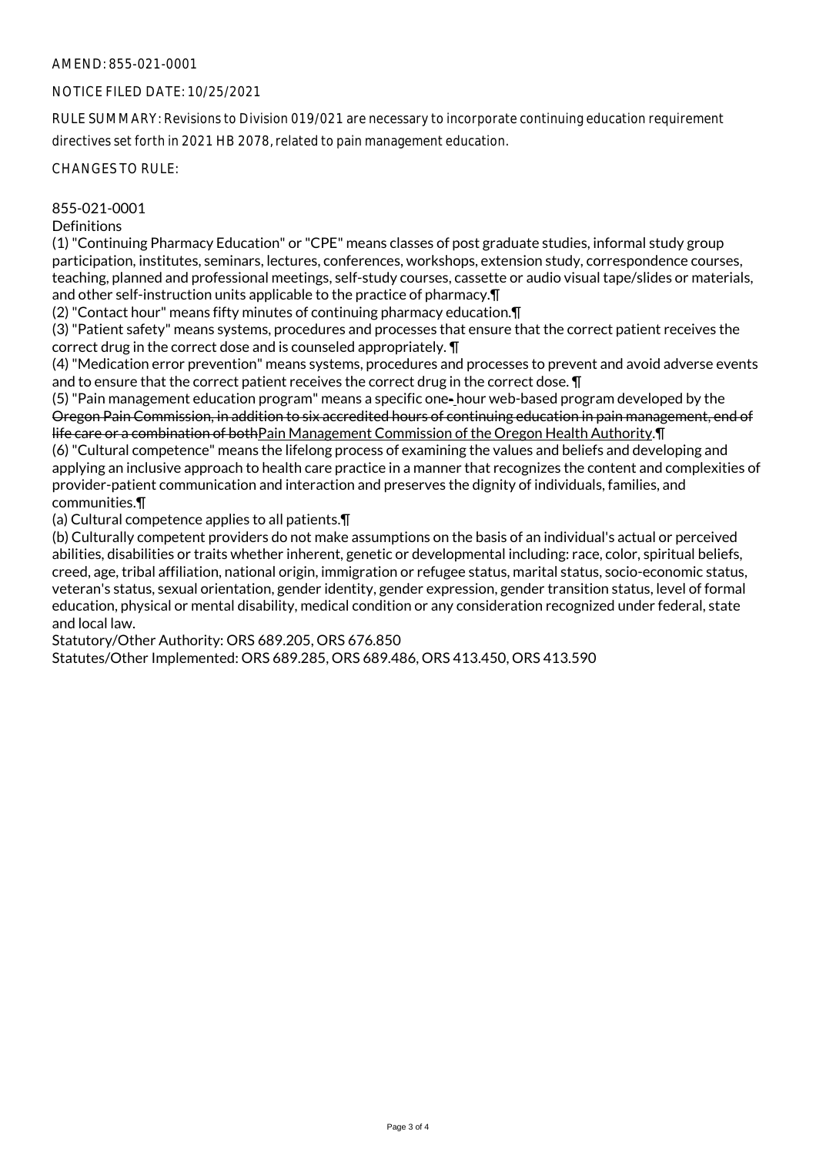## AMEND: 855-021-0001

### NOTICE FILED DATE: 10/25/2021

RULE SUMMARY: Revisions to Division 019/021 are necessary to incorporate continuing education requirement directives set forth in 2021 HB 2078, related to pain management education.

CHANGES TO RULE:

#### 855-021-0001

#### **Definitions**

(1) "Continuing Pharmacy Education" or "CPE" means classes of post graduate studies, informal study group participation, institutes, seminars, lectures, conferences, workshops, extension study, correspondence courses, teaching, planned and professional meetings, self-study courses, cassette or audio visual tape/slides or materials, and other self-instruction units applicable to the practice of pharmacy.¶

(2) "Contact hour" means fifty minutes of continuing pharmacy education.¶

(3) "Patient safety" means systems, procedures and processes that ensure that the correct patient receives the correct drug in the correct dose and is counseled appropriately. ¶

(4) "Medication error prevention" means systems, procedures and processes to prevent and avoid adverse events and to ensure that the correct patient receives the correct drug in the correct dose. **\[** 

(5) "Pain management education program" means a specific one- hour web-based program developed by the Oregon Pain Commission, in addition to six accredited hours of continuing education in pain management, end of life care or a combination of bothPain Management Commission of the Oregon Health Authority.¶

(6) "Cultural competence" means the lifelong process of examining the values and beliefs and developing and applying an inclusive approach to health care practice in a manner that recognizes the content and complexities of provider-patient communication and interaction and preserves the dignity of individuals, families, and communities.¶

(a) Cultural competence applies to all patients.¶

(b) Culturally competent providers do not make assumptions on the basis of an individual's actual or perceived abilities, disabilities or traits whether inherent, genetic or developmental including: race, color, spiritual beliefs, creed, age, tribal affiliation, national origin, immigration or refugee status, marital status, socio-economic status, veteran's status, sexual orientation, gender identity, gender expression, gender transition status, level of formal education, physical or mental disability, medical condition or any consideration recognized under federal, state and local law.

Statutory/Other Authority: ORS 689.205, ORS 676.850

Statutes/Other Implemented: ORS 689.285, ORS 689.486, ORS 413.450, ORS 413.590